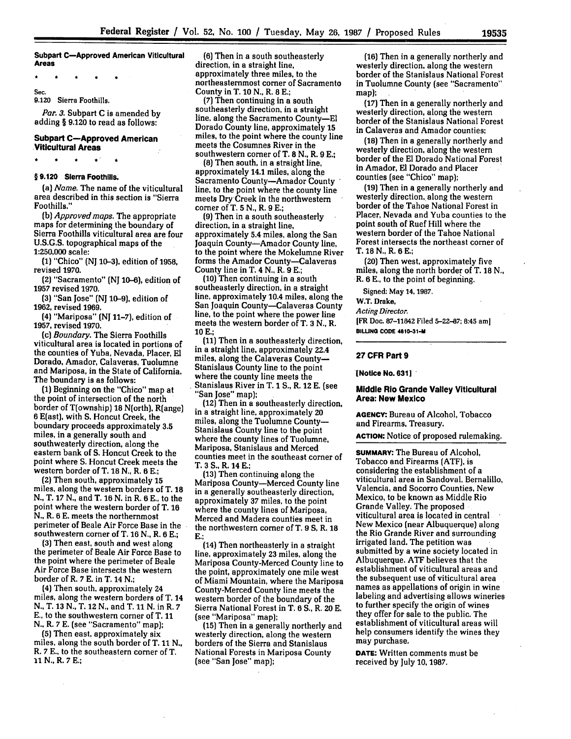**Subpart C-Approved American Viticultural Areas**

Sec.

9.120 Sierra Foothills.

*Par. 3.* Subpart **C** is amended **by** adding § **9.120** to read as follows:

## **Subpart C-Approved American Viticultural Areas**

#### **§ 9.120 Sierra Foothills.**

(a) *Name.* The name of the viticultural area described in this section is "Sierra Foothills."

*(b) Approved maps.* The appropriate maps for determining the boundary of Sierra Foothills viticultural area are four **U.S.G.S.** topographical maps of the **1:250,000** scale:

(1) "Chico" (NJ 10-3), edition of 1958, revised **1970.**

(2) "Sacramento" **(NJ 10-6),** edition of 1957 revised **1970.**

**(3)** "San Jose" **(NJ 10-9),** edition of 1962, revised 1969.

(4) "Mariposa" **(NJ** 11-7), edition of **1957,** revised **1970.**

(c) *Boundary.* The Sierra Foothills viticultural area is located in portions of the counties of Yuba, Nevada, Placer, **El** Dorado, Amador, Calaveras, Tuolumne and Mariposa, in the State of California. The boundary is as follows:

**(1)** Beginning on the "Chico" map at the point of intersection of the north border of T(ownship) **18** N(orth), R(ange) **6** E(ast), with **S.** Honcut Creek, the boundary proceeds approximately **3.5** miles, in a generally south and southwesterly direction, along the eastern bank of **S.** Honcut Creek to the point where **S.** Honcut Creek meets the western border of T. **18 N.,** R. 6 **E.;**

**(2)** Then south, approximately **15** miles, along the western borders of T. **18 N.,** T. **17 N.,** and T. 16 **N.** in R. 6 **E.,** to the point where the western border of T. **16 N.,** R. **6 E.** meets the northernmost perimeter of Beale Air Force Base in the southwestern corner of T. **16 N.,** R. **6 E.;**

(3) Then east, south and west along the perimeter of Beale Air Force Base to the point where the perimeter of Beale Air Force Base intersects the western border of R. 7 **E.** in T. 14 **N.;**

(4) Then south, approximately 24 miles, along the western borders of T. 14 N., T. 13 N., T. 12 N., and T. 11 N. in R. **7 E.,** to the southwestern corner of T. 11 N., R. **7 E.** (see "Sacramento" map);

**(5)** Then east, approximately six miles, along the south border of T. 11 **N.,** R. **7 E.,** to the southeastern corner of T. **11 N.,** R. **7 E.;**

**(6)** Then in a south southeasterly direction, in a straight line, approximately three miles, to the northeasternmost comer of Sacramento County in T. **10 N.,** R. **8 E.;**

*(7)* Then continuing in a south southeasterly direction, in a straight line, along the Sacramento County-El Dorado County line, approximately **15** miles, to the point where the county line meets the Cosumnes River in the southwestern comer of T. **8 N.,** R. **9 E.;**

**(8)** Then south, in a straight line, approximately 14.1 miles, along the Sacramento County-Amador County line, to the point where the county line meets DryCreek in the northwestern comer of T. **5 N.,** R. 9 **E.;**

**(9)** Then in a south southeasterly direction, in a straight line, approximately 5.4 miles, along the San Joaquin County-Amador County line, to the point where the Mokelumne River forms the Amador County—Calaveras County line in T. 4 N., R. 9 **E.;**

(10) Then continuing in a south southeasterly direction, in a straight line, approximately 10.4 miles, along the San Joaquin County-Calaveras County line, to the point where the power line meets the western border of T. **3 N.,** R. **10 E.;**

(11) Then in a southeasterly direction, in a straight line, approximately 22.4 miles, along the Calaveras County-Stanislaus County line to the point where the county line meets the Stanislaus River in T. 1 **S.,** R. 12 E. (see "San Jose" map);

(12) Then in a southeasterly direction, in a straight line, approximately 20 miles, along the Tuolumne County-Stanislaus County line to the point where the county lines of Tuolumne, Mariposa, Stanislaus and Merced counties meet in the southeast corner of T. **3 S.,** R. 14 E.;

(13) Then continuing along the Mariposa County-Merced County line in a generally southeasterly direction, approximately 37 miles, to the point where the county lines of Mariposa, Merced and Madera counties meet in the northwestern corner of T. 9 **S,** R. 18 **E.;**

(14) Then northeasterly in a straight line, approximately **23** miles, along the Mariposa County-Merced County line to the point, approximately one mile west of Miami Mountain, where the Mariposa County-Merced County line meets the western border of the boundary of the Sierra National Forest in T. 6 **S.,** R. 20 E. (see "Mariposa" map);

**(15)** Then in a generally northerly and westerly direction, along the western borders of the Sierra and Stanislaus National Forests in Mariposa County (see "San Jose" map);

**(16)** Then in a generally northerly and westerly direction, along the western border of the Stanislaus National Forest in Tuolumne County (see "Sacramento" map);

**(17)** Then in a generally northerly and westerly direction, along the western border of the Stanislaus National Forest in Calaveras and Amador counties;

**(18)** Then in a generally northerly and westerly direction, along the western border of the El Dorado National Forest in Amador, El Dorado and Placer counties (see "Chico" map);

(19) Then in a generally northerly and westerly direction, along the western border of the Tahoe National Forest in Placer, Nevada and Yuba counties to the point south of Ruef Hill where the western border of the Tahoe National Forest intersects the northeast corner of T. **18** N., R. **6 E.;**

(20) Then west, approximately five miles, along the north border of T. 18 N., R. **6 E.,** to the point of beginning.

Signed: May 14, 1987.

W.T. Drake,

*Acting Director.*

[FR Doc. **87-11842** Filed **5-22-87;** 8:45 am] **BILLJNG CODE 4610-31-M**

#### **27 CFR Part 9**

**[Notice No. 631]**

#### **Middle Rio Grande Valley Viticultural Area: New Mexico**

**AGENCY:** Bureau **of** Alcohol, Tobacco and Firearms, Treasury.

**ACTION:** Notice of proposed rulemaking.

**SUMMARY: The** Bureau of Alcohol, Tobacco and Firearms **(ATF),** is considering the establishment of a viticultural area in Sandoval, Bernalillo, Valencia, and Socorro Counties, New Mexico, to be known as Middle Rio Grande Valley. The proposed viticultural area is located in central New Mexico (near Albuquerque) along the Rio Grande River and surrounding irrigated land. The petition was submitted by a wine society located in Albuquerque. **ATF** believes that the establishment of viticultural areas and the subsequent use of viticultural area names as appellations of origin in wine labeling and advertising allows wineries to further specify the origin of wines they offer for sale to the public. The establishment of viticultural areas will help consumers identify the wines they may purchase.

**DATE:** Written comments must be received **by** July **10, 1987.**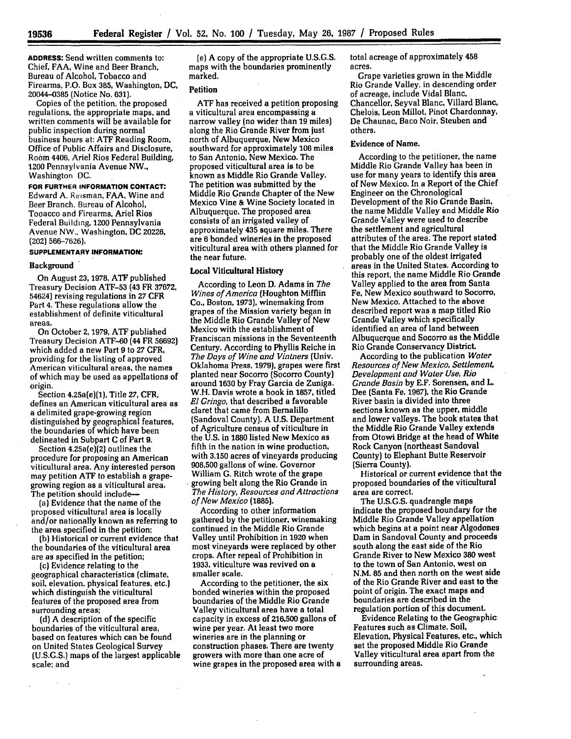**19536**

**ADDRESS:** Send written comments to: Chief, **FAA,** Wine and Beer Branch, Bureau of Alcohol, Tobacco and Firearms, P.O. Box 385, Washington, **DC,** 20044-0385 (Notice No. 631).

Copies of the petition, the proposed regulations, the appropriate maps, and written comments will be available for public inspection during normal business hours at: ATF Reading Room, Office of Public Affairs and Disclosure, Room 4406, Ariel Rios Federal Building, 1200 Pennsylvania Avenue NW., Washington DC.

**FOR FURTHER INFORMATION CONTACT:** Edward A. Reisman, FAA, Wine and Beer Branch. Bureau of Alcohol, Tooacco and Firearms, Ariel Rios Federal Building, 1200 Pennsylvania Avenue NW., Washington, **DC 20226,** (202) 566-7626).

# **SUPPLEMENTARY INFORMATION:**

#### **Background**

On August 23, **1978,** ATF published Treasury Decision ATF-53 (43 FR 37672, 54624) revising regulations in **27** CFR Part 4. These regulations allow the establishment of definite viticultural areas.

On October 2, **1979, ATF** published Treasury Decision ATF-60 (44 FR 56692] which added a new Part 9 to **27** CFR, providing for the listing of approved American viticultural areas, the names of which may be used as appellations of origin.

Section 4.25a(e)(1), Title **27,** CFR, defines an American viticultural area as a delimited grape-growing region distinguished by geographical features, the boundaries of which have been delineated in Subpart C of Part 9.

Section 4.25a(e)(2} outlines the procedure for proposing an American viticultural area. Any interested person may petition ATF to establish a grapegrowing region as a viticultural area. The petition should include-

(a) Evidence that the name of the proposed viticultural area is locally and/or nationally known as referring to the area. specified in the petition;

**(b)** Historical or current evidence that the boundaries of the viticultural area are as specified in the petition;

(c) Evidence relating to the geographical characteristics (climate, soil, elevation, physical features, etc.] which distinguish the viticultural features of the proposed area from surrounding areas;

**(d)** A description of the specific boundaries of the viticultural area, based on features which can be found on United States Geological Survey (U.S.G.S.) maps of the largest applicable scale; and

(e) **A** copy of the appropriate **U.S.G.S.** maps with the boundaries prominently marked.

#### **Petition**

ATF has received a petition proposing a viticultural area encompassing a narrow valley (no wider than **19** miles] along the Rio Grande River from just north of Albuquerque, New Mexico southward for approximately **106** miles to San Antonio, New Mexico. The proposed viticultural area is to be known as Middle Rio Grande Valley. The petition was submitted by the Middle Rio Grande Chapter of the New Mexico Vine & Wine Society located in Albuquerque. The proposed area consists of an irrigated valley of approximately 435 square miles. There are 6 bonded wineries in the proposed viticultural area with others planned for the near future.

#### Local Viticultural History

According to Leon **D.** Adams in *The Wines of America* (Houghton Mifflin Co., Boston, **1973),** winemaking from grapes of the Mission variety began in the Middle Rio Grande Valley of New Mexico with the establishment of Franciscan missions in the Seventeenth Century. According to Phyllis Reiche in *The Days of Wine and Vintners* (Univ. Oklahoma Press, **1979),** grapes were first planted near Socorro (Socorro County] around 1630 **by** Fray Garcia de Zuniga. W.H. Davis wrote a book in **1857,** titled *El Gringo,* that described a favorable claret that came from Bernalillo (Sandoval County]. A U.S. Department of Agriculture census of viticulture in the U.S. in **1880** listed New Mexico as fifth in the nation in wine production, with **3,150** acres of vineyards producing **908,500** gallons of wine. Governor William **G.** Ritch wrote of the grape growing belt along the Rio Grande in *The History, Resources and Attractions of New Mexico (1885].*

According to other information gathered by the petitioner, winemaking continued in the Middle Rio Grande Valley until Prohibition in **1920** when most vineyards were replaced by other crops. After repeal of Prohibition in 1933, viticulture was revived on a smaller scale.

According to the petitioner, the six bonded wineries within the proposed boundaries of the Middle Rio Grande Valley viticultural area have a total capacity in excess of **216,500** gallons of wine per year. At least two more wineries are in the planning or construction phases. There are twenty growers with more than one acre of wine grapes in the proposed area with a total acreage of approximately 458 acres.

Grape varieties grown in the Middle Rio Grande Valley, in descending order of acreage, include Vidal Blanc, Chancellor, Seyval Blanc, Villard Blanc, Chelois, Leon Millot, Pinot Chardonnay, De Chaunac, Baco Noir, Steuben and others.

## Evidence of Name.

According to the petitioner, the name Middle Rio Grande Valley has been in use for many years to identify this area of New Mexico. In a Report of the Chief Engineer on the Chronological Development of the Rio Grande Basin, the name Middle Valley and Middle Rio Grande Valley were used to describe the settlement and agricultural attributes of the area. The report stated that the Middle Rio Grande Valley is probably one of the oldest irrigated areas in the United States. According to this report, the name Middle Rio Grande Valley applied to the area from Santa Fe, New Mexico southward to Socorro, New Mexico. Attached to the above described report was a map titled Rio Grande Valley which specifically identified an area of land between Albuquerque and Socorro as the Middle Rio Grande Conservancy District.

According to the publication *Water Resources of New Mexico, Settlement, Development and Water Use, Rio Grande Basin* by E.F. Sorensen, and L. Dee (Santa Fe, 1967), the Rio Grande River basin is divided into three sections known as the upper, middle and lower valleys. The book states that the Middle Rio Grande Valley extends from Otowi Bridge at the head of White Rock Canyon (northeast Sandoval County) to Elephant Butte Reservoir (Sierra County).

Historical or current evidence that the proposed boundaries of the viticultural area are correct.

The U.S.G.S. quadrangle maps indicate the proposed boundary for the Middle Rio Grande Valley appellation which begins at a point near Algodones Dam in Sandoval County and proceeds south along the east side of the Rio Grande River to New Mexico **380** west to the town of San Antonio, west on N.M. **85** and then north on the west side of the Rio Grande River and east to the point of origin. The exact maps and boundaries are described in the regulation portion of this document.

Evidence Relating to the Geographic: Features such as Climate, Soil, Elevation, Physical Features, etc., which set the proposed Middle Rio Grande Valley viticultural area apart from the surrounding areas.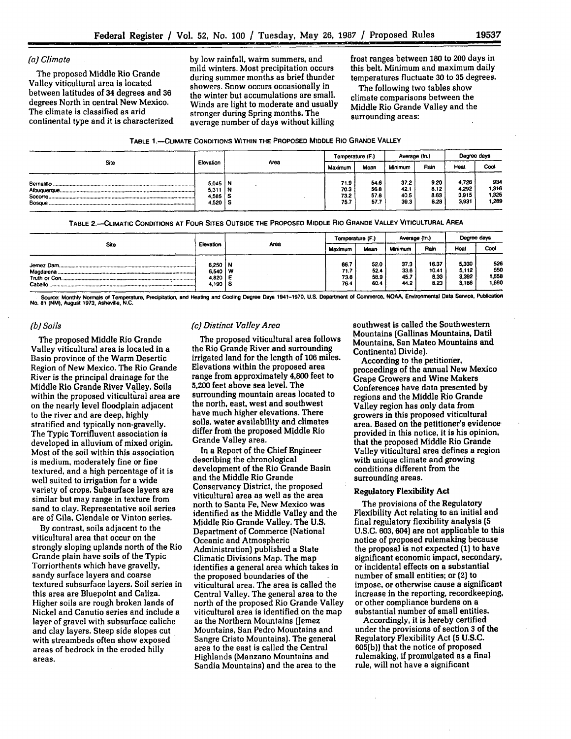*(a) Climate* **by** low rainfall, warm summers, and frost ranges between **180** to 200 days in mild winters. Most precipitation occurs this belt. Minimum and maximum daily The proposed Middle Rio Grande during summer months as brief thunder temperatures fluctuate **30** to **35** degrees. Valley viticultural area is located showers. Snow occurs occasionally in The following two tables show occurs occurs occurs occurs occurs occurs occurs occurs occurs occurs occurs occurs occurs occurs occurs in The followi between latitudes of 34 degrees and **36** the winter but accumulations are small. climate comparisons between the degrees North in central New Mexico.<br>The climate is classified as arid extended to the stranger during Spring months. The Middle Rio Grande Valley and the The climate is classified as arid stronger during Spring months. The surrounding areas:<br>continental type and it is characterized sycrage number of days without killing surrounding areas: average number of days without killing

| TABLE 1.---CLIMATE CONDITIONS WITHIN THE PROPOSED MIDDLE RIO GRANDE VALLEY |  |  |
|----------------------------------------------------------------------------|--|--|
|----------------------------------------------------------------------------|--|--|

| Site    | Elevation                                        | Area | Temperature (F.)             |                              | Average (In.)               |                              | Degree days                      |                                |
|---------|--------------------------------------------------|------|------------------------------|------------------------------|-----------------------------|------------------------------|----------------------------------|--------------------------------|
|         |                                                  |      | Maximum                      | Mean                         | Minimum                     | Rain                         | Heat                             | Cool                           |
| Bosque. | $5.045$ N<br>$5,311$   N<br>4,585   S<br>4,520 S |      | 71.9<br>70.3<br>73.2<br>75.7 | 54.6<br>56.8<br>57.8<br>57.7 | 372<br>42.1<br>40.5<br>39.3 | 9.20<br>8.12<br>8.63<br>8.28 | 4.726<br>4,292<br>3,915<br>3,931 | 934<br>1,316<br>1,325<br>1,209 |

**TABLE 2.-CLIMATIC CONDITIONS AT FOUR SITES OUTSIDE THE PROPOSED MIDDLE RIO GRANDE VALLEY VITICULTURAL AREA**

| <b>Site</b> | Elevation                                | Area | Temperature (F.)             |                              | Average (In.)                |                                | Degree days                      |                              |
|-------------|------------------------------------------|------|------------------------------|------------------------------|------------------------------|--------------------------------|----------------------------------|------------------------------|
|             |                                          |      | Maximum                      | Mean                         | <b>Minimum</b>               | Rain                           | Heat                             | Cool                         |
|             | 6,250 N<br>6.540 W<br>4.820 E<br>4.190 S |      | 66.7<br>71.7<br>73.8<br>76.4 | 52.0<br>52.4<br>58.9<br>60.4 | 37.3<br>33.6<br>45.7<br>44.2 | 16.37<br>10.41<br>8.33<br>8.23 | 5.330<br>5,112<br>3,392<br>3.188 | 526<br>550<br>1,558<br>1.690 |

Source: Monthly Normals of Temperature, Precipitation, and Heating and Cooling Degree Days 1941-1970, U.S. Department of Commerce, NOAA, Environmental Data Service, Publication<br>No. 81 (NM), August 1973, Asheville, N.C.

#### *(b) Soils*

The proposed Middle Rio Grande Valley viticultural area is located in a Basin province of the Warm Desertic Region of New Mexico. The Rio Grande River is the principal drainage for the Middle Rio Grande River Valley. Soils within the proposed viticultural area are on the nearly level floodplain adjacent to the river and are deep, **highly** stratified and typically non-gravelly. The Typic Torrifluvent association is developed in alluvium of mixed origin. Most of the soil within this association is medium, moderately fine or fine textured, and a high percentage of it is well suited to irrigation for a wide variety of crops. Subsurface layers are similar but may range in texture from sand to clay. Representative soil series are of Gila, Glendale or Vinton series.

**By** contrast, soils adjacent to the viticultural area that occur on the strongly sloping uplands north of the Rio Grande plain have soils of the Typic Torriorthents which have gravelly, sandy surface layers and coarse textured subsurface layers. Soil series in this area are Bluepoint and Caliza. Higher soils are rough broken lands of Nickel and Canutio series and include a layer of gravel with subsurface caliche and clay layers. Steep side slopes cut with streambeds often show exposed areas of bedrock in the eroded hilly areas.

## *(c) Distinct Valley Area*

The proposed viticultural area follows the Rio Grande River and surrounding irrigated land for the length of **106** miles. Elevations within the proposed area range from approximately 4,800 feet to **5,200** feet above sea level. The surrounding mountain areas located to the north, east, west and southwest have much higher elevations. There soils, water availability and climates differ from the proposed Middle Rio Grande Valley area.

In a Report of the Chief Engineer describing the chronological development of the Rio Grande Basin and the Middle Rio Grande Conservancy District, the proposed viticultural area as well as the area north to Santa Fe, New Mexico was identified as the Middle Valley and the Middle Rio Grande Valley. The U.S. Department of Commerce (National Oceanic and Atmospheric Administration) published a State Climatic Divisions Map. The map identifies a general area which takes in the proposed boundaries of the viticultural area. The area is called the Central Valley. The general area to the north of the proposed Rio Grande Valley viticultural area is identified on the map as the Northern Mountains (Jemez Mountains, San Pedro Mountains and Sangre Cristo Mountains). The general area to the east is called the Central Highlands (Manzano Mountains and Sandia Mountains) and the area to the

southwest is called the Southwestern Mountains (Gallinas Mountains, Datil Mountains, San Mateo Mountains and Continental Divide).

According to the petitioner, proceedings of the annual New Mexico Grape Growers and Wine Makers Conferences have data presented **by** regions and the Middle Rio Grande Valley region has only data from growers in this proposed viticultural area. Based on the petitioner's evidence provided in this notice, it is his opinion, that the proposed Middle Rio Grande Valley viticultural area defines a region with unique climate and growing conditions different from the surrounding areas.

#### Regulatory Flexibility Act

The provisions of the Regulatory Flexibility Act relating to an initial and final regulatory flexibility analysis **(5** U.S.C. **603,** 604) are not applicable to this notice of proposed rulemaking because the proposal is not expected **(1)** to have significant economic impact, secondary, or incidental effects on a substantial number of small entities; or (2) to impose, or otherwise Cause a significant increase in the reporting, recordkeeping, or other compliance burdens on a substantial number of small entities.

Accordingly, it is hereby certified under the provisions of section **3** of the Regulatory Flexibility Act **(5 U.S.C. 605(b))** that the notice of proposed rulemaking, if promulgated as a final rule, will not have a significant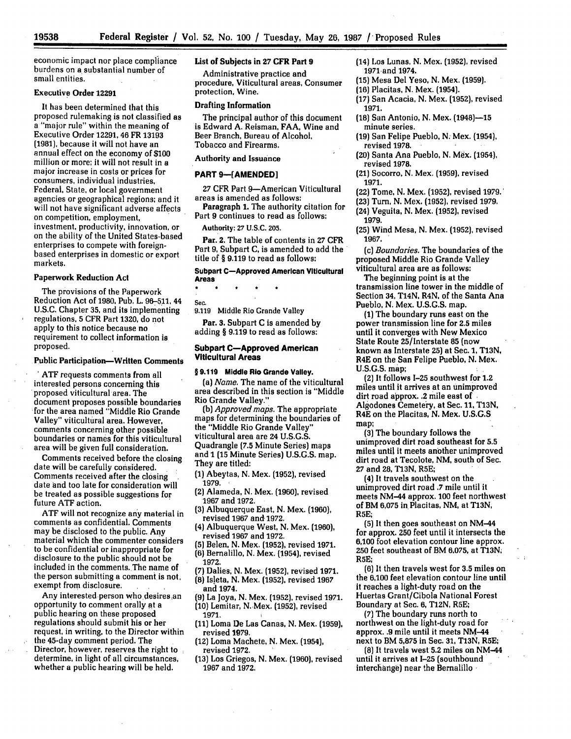**19538**

economic impact nor place compliance burdens on a substantial number of small entities.

## Executive **Order 12291**

It has been determined that this proposed rulemaking is not classified as a "major rule" within the meaning of Executive Order 12291, 46 FR 13193 (1981), because it will not have an annual effect on the economy of **\$100** million or more; it will not result in a major increase in costs or prices for consumers, individual industries, Federal, State, or local government agencies or geographical regions; and it will not have significant adverse affects on competition, employment, investment, productivity, innovation, or on the ability of the United States-based enterprises to compete with foreignbased enterprises in domestic or export markets.

#### **Paperwork** Reduction Act

The provisions of the Paperwork Reduction Act of 1980, Pub. L. 96-511, <sup>44</sup> U.S.C. Chapter 35, and its implementing regulations, 5 CFR Part 1320, do not apply to this notice because no requirement to collect information is proposed.

#### Public Participation-Written Comments

**. ATF** requests comments from all interested persons concerning this proposed viticultural area. The document proposes possible boundaries for the area named "Middle Rio Grande Valley" viticultural area. However, comments concerning other possible boundaries or names for this viticultural area will be given full consideration.

Comments received before the closing date will be carefully considered. Comments received after the closing date and too late for consideration will be treated as possible suggestions for future **ATF** action.

ATF will not recognize any material in comments as confidential. Comments may be disclosed to the public. **Any** material which the commenter considers to be confidential or inappropriate for disclosure to the public should not be included in the comments. The name of the person submitting a comment is not, exempt from disclosure.

Any interested person who desires an opportunity to comment orally at a public hearing on these proposed regulations should submit his or her request, in writing, to the Director within the 45-day comment period. The Director, however, reserves the right to determine, in light of all circumstances, whether a public hearing will be held.

#### List of Subjects in **27 CFR Part 9**

Administrative practice and procedure, Viticultural areas, Consumer protection, Wine.

#### Drafting Information

The principal author of this document is Edward **A.** Reisman, **FAA,** Wine and Beer Branch, Bureau of Alcohol, Tobacco and Firearms.

Authority and Issuance

#### **PART 9-[AMENDED]**

**27** CFR Part 9-American Viticultural areas is amended as follows:

Paragraph **1.** The authority citation for

Part 9 continues to read as follows: Authority: **27** U.S.C. **205.**

Par. 2. The table of contents in **27** CFR Part 9, Subpart **C,** is amended to add the title of § 9.119 to read as follows:

#### Subpart C-Approved American Viticultural Areas

Sec.

**9.119** Middle Rio Grande Valley

Par. 3. Subpart **C** is amended **by** adding § 9.119 to read as follows:

#### Subpart C-Approved American Viticultural Areas

#### **§ 9.119 Middle** Rio Grande Valley.

(a) *Name.* The name of the viticultural area described in this section is "Middle Rio Grande Valley."

**(b)** *Approved maps.* The appropriate maps for determining the boundaries of the "Middle Rio Grande Valley" viticultural area are 24 U.S.G.S. Quadrangle **(7.5** Minute Series) maps and **1 (15** Minute Series) U.S.G.S. map. They are titled:

**(1)** Abeytas, N. Mex. (1952), revised **1979.**

(2) Alameda, **N.** Mex. **(1960),** revised **1967** and **1972.**

**(3)** Albuquerque East, **N.** Mex. **(1960),** revised **1967** and, **1972.**

**(4)** Albuquerque West, N. Mex. **(1960),** revised **1967** and **1972.**

**(5)** Belen, **N.** Mex. **(1952),** revised **1971.**

**(6)** Bernalillo, **N.** Mex. (1954), revised **1972.**

- **(7)** Dalies, **N.** Mex. **(1952),** revised **1971.**
- **(8)** Isleta, **N.** Mex. **(1952),** revised **1967**
- and 1974. **(9)** La Joya, **N.** Mex. **(1952),** revised **1971.**

**(10)** Lemitar, N.Mex. **(1952),** revised **1971.**

- **(11)** Loma De Las Canas, **N.** Mex. **(1959),** revised **1979.**
- (12) Loma Machete, **N.** Mex. (1954), revised **1972.**
- **(13)** Los Griegos, **N.** Mex. **(1960),** revised **1967** and **1972.**
- (14) Los Lunas, **N.** Mex. **(1952),** revised 1971.and 1974.
- **(15)** Mesa Del Yeso, N. Mex. (1959).
- **(16)** Placitas, N. Mex. (1954).
- **(17)** San Acacia, N. Mex. **(1952),** revised **1971.**
- **(18)** San Antonio, N. Mex. (1948)-15 minute series.
- **(19)** San Felipe Pueblo, N. Mex. (1954), revised **1978.**
- (20) Santa Ana Pueblo, N. Mex. (1954), revised **1978.**

(21) Socorro, N. Mex. **(1959),** revised 1971.

- (22) Tome, N. Mex. **(1952),** revised **1979.'**
- (23) Turn, N. Mex. **(1952),** revised **1979.**
- (24) Veguita, N. Mex. (1952), revised **1979.**
- **(25)** Wind Mesa, N. Mex. (1952), revised **1967.**

(c) *Boundaries.* The boundaries of the proposed Middle Rio Grande Valley viticultural area are as follows:

The beginning point is at the transmission line tower in the middle of Section 34, T14N, R4N, of the Santa Ana Pueblo, N. Mex. U.S.G.S. map.

(1) The boundary runs east on the power transmission line for **2.5** miles until it converges with New Mexico State Route 25/Interstate **65** (now known as Interstate 25) at Sec. **1, T13N,** R4E on the San Felipe Pueblo, N. Mex. **U.S.G.S.** map;

(2) It follows 1-25 southwest for 1.2 miles until it arrives at an unimproved dirt road approx. .2 mile east of Algodones Cemetery, at Sec. **11,** T13N, R4E on the Placitas, N. Mex. U.S.G.S map;

**(3)** The boundary follows the unimproved dirt road southeast for 5.5 miles until it meets another unimproved dirt road at Tecolote, **NM,** south of Sec. **27** and **28, T13N,** R5E;

(4) It travels southwest on the unimproved dirt road .7 mile until it meets NM-44 approx. **100** feet northwest of BM **6,075** in Placitas, **NM,** at **T13N,** R5E;

**(5)** It then goes southeast on NM-44 for approx. **250** feet until it intersects the 6,100 foot elevation contour line approx. **250** feet southeast of BM **6,075,** at **T13N;** R5E;

**(6)** It then travels west for **3.5** miles on the **6,100** feet elevation contour line until it reaches a light-duty road on the Huertas Grant/Cibola National Forest Boundary at Sec. **6, T12N,** R5E;

**(7)** The boundary runs north to northwest on the light-duty road for approx. .9 mile until it meets NM-44 next to BM **5,875** in Sec. **31, T13N,** R5E;

(8) It travels west **5.2** miles on NM-44 until it arrives at 1-25 (southbound interchange) near the Bernalillo